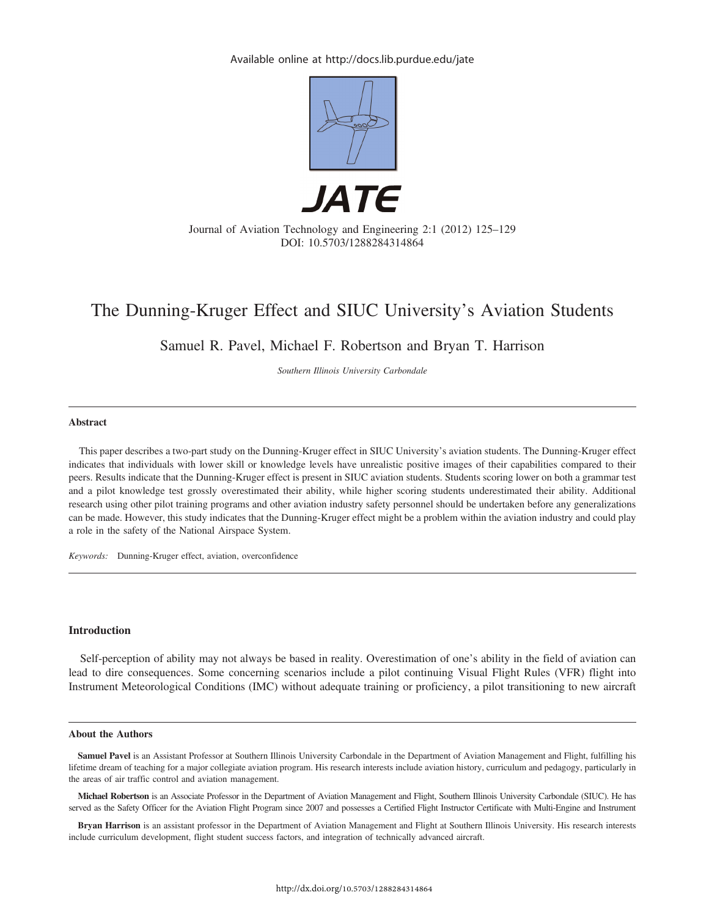Available online at http://docs.lib.purdue.edu/jate



# The Dunning-Kruger Effect and SIUC University's Aviation Students

Samuel R. Pavel, Michael F. Robertson and Bryan T. Harrison

Southern Illinois University Carbondale

#### Abstract

This paper describes a two-part study on the Dunning-Kruger effect in SIUC University's aviation students. The Dunning-Kruger effect indicates that individuals with lower skill or knowledge levels have unrealistic positive images of their capabilities compared to their peers. Results indicate that the Dunning-Kruger effect is present in SIUC aviation students. Students scoring lower on both a grammar test and a pilot knowledge test grossly overestimated their ability, while higher scoring students underestimated their ability. Additional research using other pilot training programs and other aviation industry safety personnel should be undertaken before any generalizations can be made. However, this study indicates that the Dunning-Kruger effect might be a problem within the aviation industry and could play a role in the safety of the National Airspace System.

Keywords: Dunning-Kruger effect, aviation, overconfidence

#### Introduction

Self-perception of ability may not always be based in reality. Overestimation of one's ability in the field of aviation can lead to dire consequences. Some concerning scenarios include a pilot continuing Visual Flight Rules (VFR) flight into Instrument Meteorological Conditions (IMC) without adequate training or proficiency, a pilot transitioning to new aircraft

#### About the Authors

Samuel Pavel is an Assistant Professor at Southern Illinois University Carbondale in the Department of Aviation Management and Flight, fulfilling his lifetime dream of teaching for a major collegiate aviation program. His research interests include aviation history, curriculum and pedagogy, particularly in the areas of air traffic control and aviation management.

Michael Robertson is an Associate Professor in the Department of Aviation Management and Flight, Southern Illinois University Carbondale (SIUC). He has served as the Safety Officer for the Aviation Flight Program since 2007 and possesses a Certified Flight Instructor Certificate with Multi-Engine and Instrument

Bryan Harrison is an assistant professor in the Department of Aviation Management and Flight at Southern Illinois University. His research interests include curriculum development, flight student success factors, and integration of technically advanced aircraft.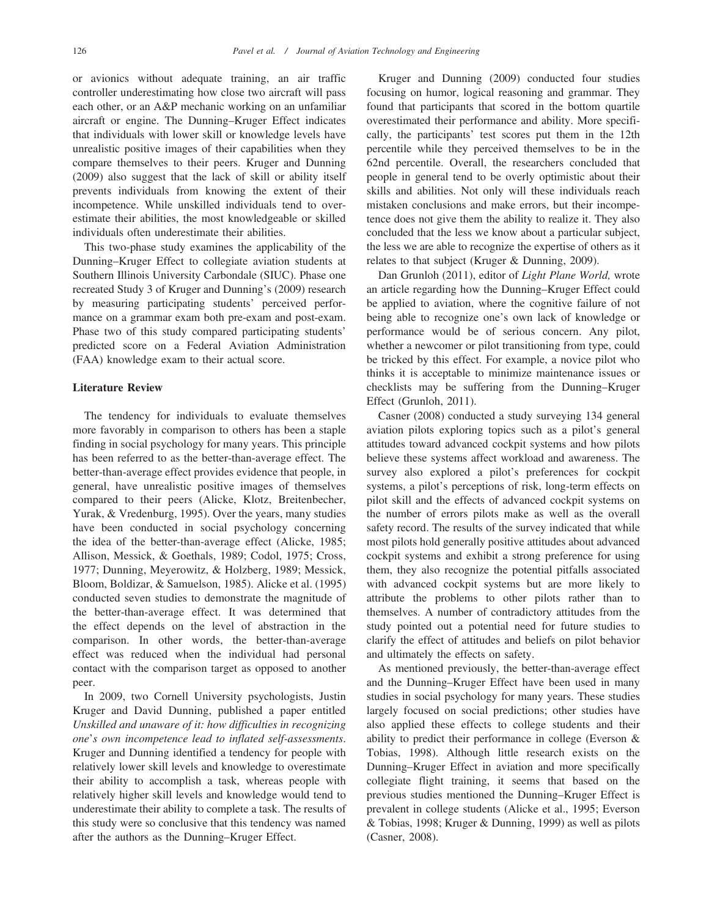or avionics without adequate training, an air traffic controller underestimating how close two aircraft will pass each other, or an A&P mechanic working on an unfamiliar aircraft or engine. The Dunning–Kruger Effect indicates that individuals with lower skill or knowledge levels have unrealistic positive images of their capabilities when they compare themselves to their peers. Kruger and Dunning (2009) also suggest that the lack of skill or ability itself prevents individuals from knowing the extent of their incompetence. While unskilled individuals tend to overestimate their abilities, the most knowledgeable or skilled individuals often underestimate their abilities.

This two-phase study examines the applicability of the Dunning–Kruger Effect to collegiate aviation students at Southern Illinois University Carbondale (SIUC). Phase one recreated Study 3 of Kruger and Dunning's (2009) research by measuring participating students' perceived performance on a grammar exam both pre-exam and post-exam. Phase two of this study compared participating students' predicted score on a Federal Aviation Administration (FAA) knowledge exam to their actual score.

## Literature Review

The tendency for individuals to evaluate themselves more favorably in comparison to others has been a staple finding in social psychology for many years. This principle has been referred to as the better-than-average effect. The better-than-average effect provides evidence that people, in general, have unrealistic positive images of themselves compared to their peers (Alicke, Klotz, Breitenbecher, Yurak, & Vredenburg, 1995). Over the years, many studies have been conducted in social psychology concerning the idea of the better-than-average effect (Alicke, 1985; Allison, Messick, & Goethals, 1989; Codol, 1975; Cross, 1977; Dunning, Meyerowitz, & Holzberg, 1989; Messick, Bloom, Boldizar, & Samuelson, 1985). Alicke et al. (1995) conducted seven studies to demonstrate the magnitude of the better-than-average effect. It was determined that the effect depends on the level of abstraction in the comparison. In other words, the better-than-average effect was reduced when the individual had personal contact with the comparison target as opposed to another peer.

In 2009, two Cornell University psychologists, Justin Kruger and David Dunning, published a paper entitled Unskilled and unaware of it: how difficulties in recognizing one's own incompetence lead to inflated self-assessments. Kruger and Dunning identified a tendency for people with relatively lower skill levels and knowledge to overestimate their ability to accomplish a task, whereas people with relatively higher skill levels and knowledge would tend to underestimate their ability to complete a task. The results of this study were so conclusive that this tendency was named after the authors as the Dunning–Kruger Effect.

Kruger and Dunning (2009) conducted four studies focusing on humor, logical reasoning and grammar. They found that participants that scored in the bottom quartile overestimated their performance and ability. More specifically, the participants' test scores put them in the 12th percentile while they perceived themselves to be in the 62nd percentile. Overall, the researchers concluded that people in general tend to be overly optimistic about their skills and abilities. Not only will these individuals reach mistaken conclusions and make errors, but their incompetence does not give them the ability to realize it. They also concluded that the less we know about a particular subject, the less we are able to recognize the expertise of others as it relates to that subject (Kruger & Dunning, 2009).

Dan Grunloh (2011), editor of Light Plane World, wrote an article regarding how the Dunning–Kruger Effect could be applied to aviation, where the cognitive failure of not being able to recognize one's own lack of knowledge or performance would be of serious concern. Any pilot, whether a newcomer or pilot transitioning from type, could be tricked by this effect. For example, a novice pilot who thinks it is acceptable to minimize maintenance issues or checklists may be suffering from the Dunning–Kruger Effect (Grunloh, 2011).

Casner (2008) conducted a study surveying 134 general aviation pilots exploring topics such as a pilot's general attitudes toward advanced cockpit systems and how pilots believe these systems affect workload and awareness. The survey also explored a pilot's preferences for cockpit systems, a pilot's perceptions of risk, long-term effects on pilot skill and the effects of advanced cockpit systems on the number of errors pilots make as well as the overall safety record. The results of the survey indicated that while most pilots hold generally positive attitudes about advanced cockpit systems and exhibit a strong preference for using them, they also recognize the potential pitfalls associated with advanced cockpit systems but are more likely to attribute the problems to other pilots rather than to themselves. A number of contradictory attitudes from the study pointed out a potential need for future studies to clarify the effect of attitudes and beliefs on pilot behavior and ultimately the effects on safety.

As mentioned previously, the better-than-average effect and the Dunning–Kruger Effect have been used in many studies in social psychology for many years. These studies largely focused on social predictions; other studies have also applied these effects to college students and their ability to predict their performance in college (Everson & Tobias, 1998). Although little research exists on the Dunning–Kruger Effect in aviation and more specifically collegiate flight training, it seems that based on the previous studies mentioned the Dunning–Kruger Effect is prevalent in college students (Alicke et al., 1995; Everson & Tobias, 1998; Kruger & Dunning, 1999) as well as pilots (Casner, 2008).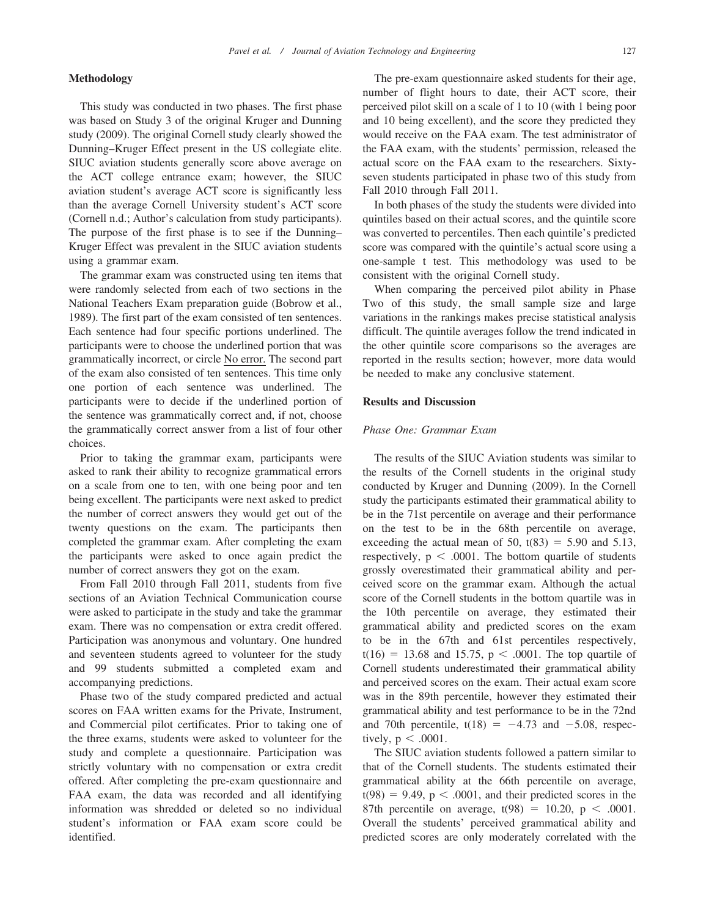#### Methodology

This study was conducted in two phases. The first phase was based on Study 3 of the original Kruger and Dunning study (2009). The original Cornell study clearly showed the Dunning–Kruger Effect present in the US collegiate elite. SIUC aviation students generally score above average on the ACT college entrance exam; however, the SIUC aviation student's average ACT score is significantly less than the average Cornell University student's ACT score (Cornell n.d.; Author's calculation from study participants). The purpose of the first phase is to see if the Dunning– Kruger Effect was prevalent in the SIUC aviation students using a grammar exam.

The grammar exam was constructed using ten items that were randomly selected from each of two sections in the National Teachers Exam preparation guide (Bobrow et al., 1989). The first part of the exam consisted of ten sentences. Each sentence had four specific portions underlined. The participants were to choose the underlined portion that was grammatically incorrect, or circle No error. The second part of the exam also consisted of ten sentences. This time only one portion of each sentence was underlined. The participants were to decide if the underlined portion of the sentence was grammatically correct and, if not, choose the grammatically correct answer from a list of four other choices.

Prior to taking the grammar exam, participants were asked to rank their ability to recognize grammatical errors on a scale from one to ten, with one being poor and ten being excellent. The participants were next asked to predict the number of correct answers they would get out of the twenty questions on the exam. The participants then completed the grammar exam. After completing the exam the participants were asked to once again predict the number of correct answers they got on the exam.

From Fall 2010 through Fall 2011, students from five sections of an Aviation Technical Communication course were asked to participate in the study and take the grammar exam. There was no compensation or extra credit offered. Participation was anonymous and voluntary. One hundred and seventeen students agreed to volunteer for the study and 99 students submitted a completed exam and accompanying predictions.

Phase two of the study compared predicted and actual scores on FAA written exams for the Private, Instrument, and Commercial pilot certificates. Prior to taking one of the three exams, students were asked to volunteer for the study and complete a questionnaire. Participation was strictly voluntary with no compensation or extra credit offered. After completing the pre-exam questionnaire and FAA exam, the data was recorded and all identifying information was shredded or deleted so no individual student's information or FAA exam score could be identified.

The pre-exam questionnaire asked students for their age, number of flight hours to date, their ACT score, their perceived pilot skill on a scale of 1 to 10 (with 1 being poor and 10 being excellent), and the score they predicted they would receive on the FAA exam. The test administrator of the FAA exam, with the students' permission, released the actual score on the FAA exam to the researchers. Sixtyseven students participated in phase two of this study from Fall 2010 through Fall 2011.

In both phases of the study the students were divided into quintiles based on their actual scores, and the quintile score was converted to percentiles. Then each quintile's predicted score was compared with the quintile's actual score using a one-sample t test. This methodology was used to be consistent with the original Cornell study.

When comparing the perceived pilot ability in Phase Two of this study, the small sample size and large variations in the rankings makes precise statistical analysis difficult. The quintile averages follow the trend indicated in the other quintile score comparisons so the averages are reported in the results section; however, more data would be needed to make any conclusive statement.

## Results and Discussion

## Phase One: Grammar Exam

The results of the SIUC Aviation students was similar to the results of the Cornell students in the original study conducted by Kruger and Dunning (2009). In the Cornell study the participants estimated their grammatical ability to be in the 71st percentile on average and their performance on the test to be in the 68th percentile on average, exceeding the actual mean of 50,  $t(83) = 5.90$  and 5.13, respectively,  $p < .0001$ . The bottom quartile of students grossly overestimated their grammatical ability and perceived score on the grammar exam. Although the actual score of the Cornell students in the bottom quartile was in the 10th percentile on average, they estimated their grammatical ability and predicted scores on the exam to be in the 67th and 61st percentiles respectively,  $t(16) = 13.68$  and 15.75, p < .0001. The top quartile of Cornell students underestimated their grammatical ability and perceived scores on the exam. Their actual exam score was in the 89th percentile, however they estimated their grammatical ability and test performance to be in the 72nd and 70th percentile,  $t(18) = -4.73$  and  $-5.08$ , respectively,  $p < .0001$ .

The SIUC aviation students followed a pattern similar to that of the Cornell students. The students estimated their grammatical ability at the 66th percentile on average,  $t(98) = 9.49$ ,  $p < .0001$ , and their predicted scores in the 87th percentile on average,  $t(98) = 10.20$ , p < .0001. Overall the students' perceived grammatical ability and predicted scores are only moderately correlated with the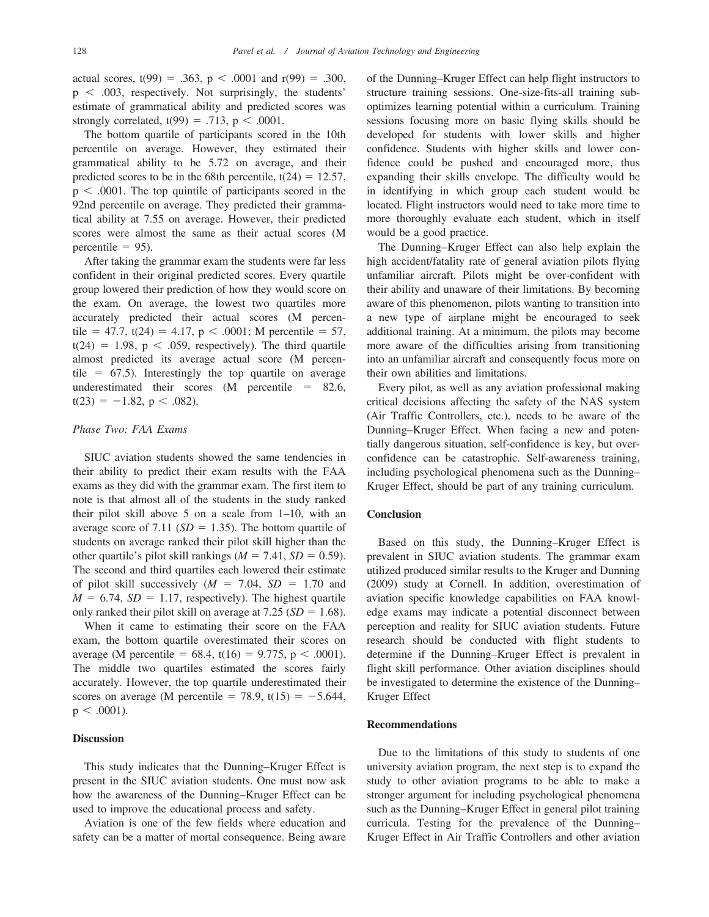actual scores,  $t(99) = .363$ ,  $p < .0001$  and  $r(99) = .300$ ,  $p < .003$ , respectively. Not surprisingly, the students' estimate of grammatical ability and predicted scores was strongly correlated,  $t(99) = .713$ ,  $p < .0001$ .

The bottom quartile of participants scored in the 10th percentile on average. However, they estimated their grammatical ability to be 5.72 on average, and their predicted scores to be in the 68th percentile,  $t(24) = 12.57$ ,  $p < .0001$ . The top quintile of participants scored in the 92nd percentile on average. They predicted their grammatical ability at 7.55 on average. However, their predicted scores were almost the same as their actual scores (M percentile  $= 95$ ).

After taking the grammar exam the students were far less confident in their original predicted scores. Every quartile group lowered their prediction of how they would score on the exam. On average, the lowest two quartiles more accurately predicted their actual scores (M percentile = 47.7, t(24) = 4.17, p < .0001; M percentile = 57,  $t(24) = 1.98$ , p < .059, respectively). The third quartile almost predicted its average actual score (M percentile  $= 67.5$ ). Interestingly the top quartile on average underestimated their scores  $(M$  percentile = 82.6,  $t(23) = -1.82$ , p < .082).

#### Phase Two: FAA Exams

SIUC aviation students showed the same tendencies in their ability to predict their exam results with the FAA exams as they did with the grammar exam. The first item to note is that almost all of the students in the study ranked their pilot skill above 5 on a scale from 1–10, with an average score of 7.11 ( $SD = 1.35$ ). The bottom quartile of students on average ranked their pilot skill higher than the other quartile's pilot skill rankings ( $M = 7.41$ ,  $SD = 0.59$ ). The second and third quartiles each lowered their estimate of pilot skill successively  $(M = 7.04, SD = 1.70$  and  $M = 6.74$ ,  $SD = 1.17$ , respectively). The highest quartile only ranked their pilot skill on average at 7.25 ( $SD = 1.68$ ).

When it came to estimating their score on the FAA exam, the bottom quartile overestimated their scores on average (M percentile = 68.4, t(16) = 9.775, p < .0001). The middle two quartiles estimated the scores fairly accurately. However, the top quartile underestimated their scores on average (M percentile = 78.9, t(15) =  $-5.644$ ,  $p < .0001$ ).

## **Discussion**

This study indicates that the Dunning–Kruger Effect is present in the SIUC aviation students. One must now ask how the awareness of the Dunning–Kruger Effect can be used to improve the educational process and safety.

Aviation is one of the few fields where education and safety can be a matter of mortal consequence. Being aware of the Dunning–Kruger Effect can help flight instructors to structure training sessions. One-size-fits-all training suboptimizes learning potential within a curriculum. Training sessions focusing more on basic flying skills should be developed for students with lower skills and higher confidence. Students with higher skills and lower confidence could be pushed and encouraged more, thus expanding their skills envelope. The difficulty would be in identifying in which group each student would be located. Flight instructors would need to take more time to more thoroughly evaluate each student, which in itself would be a good practice.

The Dunning–Kruger Effect can also help explain the high accident/fatality rate of general aviation pilots flying unfamiliar aircraft. Pilots might be over-confident with their ability and unaware of their limitations. By becoming aware of this phenomenon, pilots wanting to transition into a new type of airplane might be encouraged to seek additional training. At a minimum, the pilots may become more aware of the difficulties arising from transitioning into an unfamiliar aircraft and consequently focus more on their own abilities and limitations.

Every pilot, as well as any aviation professional making critical decisions affecting the safety of the NAS system (Air Traffic Controllers, etc.), needs to be aware of the Dunning–Kruger Effect. When facing a new and potentially dangerous situation, self-confidence is key, but overconfidence can be catastrophic. Self-awareness training, including psychological phenomena such as the Dunning– Kruger Effect, should be part of any training curriculum.

# Conclusion

Based on this study, the Dunning–Kruger Effect is prevalent in SIUC aviation students. The grammar exam utilized produced similar results to the Kruger and Dunning (2009) study at Cornell. In addition, overestimation of aviation specific knowledge capabilities on FAA knowledge exams may indicate a potential disconnect between perception and reality for SIUC aviation students. Future research should be conducted with flight students to determine if the Dunning–Kruger Effect is prevalent in flight skill performance. Other aviation disciplines should be investigated to determine the existence of the Dunning– Kruger Effect

## Recommendations

Due to the limitations of this study to students of one university aviation program, the next step is to expand the study to other aviation programs to be able to make a stronger argument for including psychological phenomena such as the Dunning–Kruger Effect in general pilot training curricula. Testing for the prevalence of the Dunning– Kruger Effect in Air Traffic Controllers and other aviation